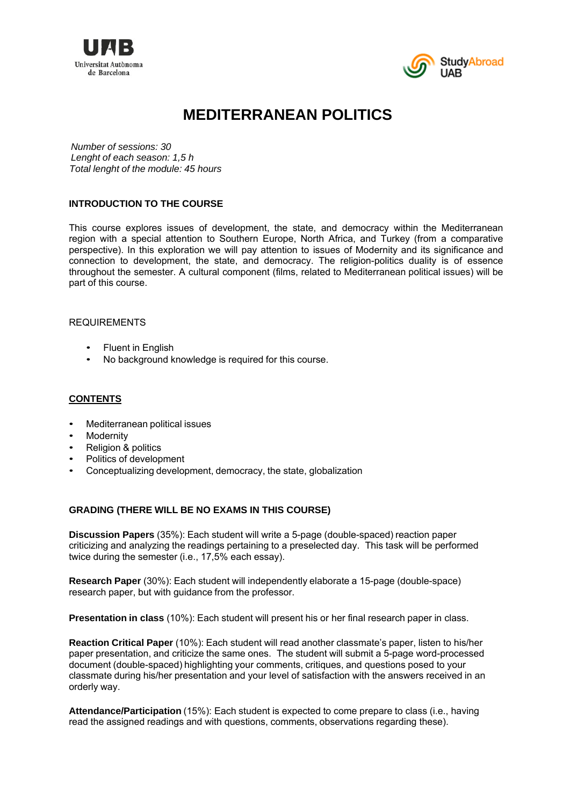



# **MEDITERRANEAN POLITICS**

*Number of sessions: 30 Lenght of each season: 1,5 h Total lenght of the module: 45 hours* 

### **INTRODUCTION TO THE COURSE**

This course explores issues of development, the state, and democracy within the Mediterranean region with a special attention to Southern Europe, North Africa, and Turkey (from a comparative perspective). In this exploration we will pay attention to issues of Modernity and its significance and connection to development, the state, and democracy. The religion-politics duality is of essence throughout the semester. A cultural component (films, related to Mediterranean political issues) will be part of this course.

#### REQUIREMENTS

- **Fluent in English**
- No background knowledge is required for this course.

# **CONTENTS**

- Mediterranean political issues
- **Modernity**
- Religion & politics
- Politics of development
- Conceptualizing development, democracy, the state, globalization

# **GRADING (THERE WILL BE NO EXAMS IN THIS COURSE)**

**Discussion Papers** (35%): Each student will write a 5-page (double-spaced) reaction paper criticizing and analyzing the readings pertaining to a preselected day. This task will be performed twice during the semester (i.e., 17,5% each essay).

**Research Paper** (30%): Each student will independently elaborate a 15-page (double-space) research paper, but with guidance from the professor.

**Presentation in class** (10%): Each student will present his or her final research paper in class.

**Reaction Critical Paper** (10%): Each student will read another classmate's paper, listen to his/her paper presentation, and criticize the same ones. The student will submit a 5-page word-processed document (double-spaced) highlighting your comments, critiques, and questions posed to your classmate during his/her presentation and your level of satisfaction with the answers received in an orderly way.

**Attendance/Participation** (15%): Each student is expected to come prepare to class (i.e., having read the assigned readings and with questions, comments, observations regarding these).